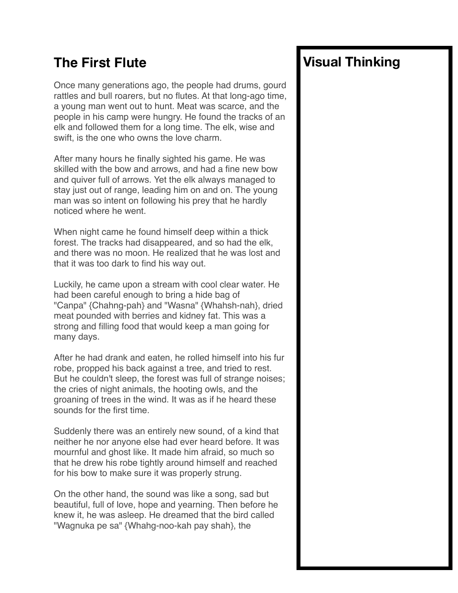### **The First Flute**

Once many generations ago, the people had drums, gourd rattles and bull roarers, but no flutes. At that long-ago time, a young man went out to hunt. Meat was scarce, and the people in his camp were hungry. He found the tracks of an elk and followed them for a long time. The elk, wise and swift, is the one who owns the love charm.

After many hours he finally sighted his game. He was skilled with the bow and arrows, and had a fine new bow and quiver full of arrows. Yet the elk always managed to stay just out of range, leading him on and on. The young man was so intent on following his prey that he hardly noticed where he went.

When night came he found himself deep within a thick forest. The tracks had disappeared, and so had the elk, and there was no moon. He realized that he was lost and that it was too dark to find his way out.

Luckily, he came upon a stream with cool clear water. He had been careful enough to bring a hide bag of "Canpa" {Chahng-pah} and "Wasna" {Whahsh-nah}, dried meat pounded with berries and kidney fat. This was a strong and filling food that would keep a man going for many days.

After he had drank and eaten, he rolled himself into his fur robe, propped his back against a tree, and tried to rest. But he couldn't sleep, the forest was full of strange noises; the cries of night animals, the hooting owls, and the groaning of trees in the wind. It was as if he heard these sounds for the first time.

Suddenly there was an entirely new sound, of a kind that neither he nor anyone else had ever heard before. It was mournful and ghost like. It made him afraid, so much so that he drew his robe tightly around himself and reached for his bow to make sure it was properly strung.

On the other hand, the sound was like a song, sad but beautiful, full of love, hope and yearning. Then before he knew it, he was asleep. He dreamed that the bird called "Wagnuka pe sa" {Whahg-noo-kah pay shah}, the

# **Visual Thinking**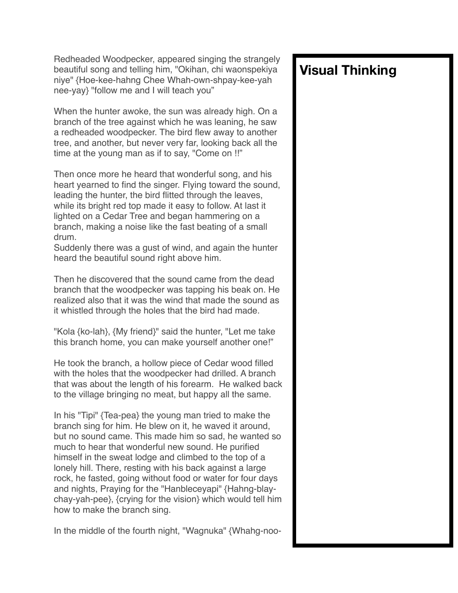Redheaded Woodpecker, appeared singing the strangely beautiful song and telling him, "Okihan, chi waonspekiya niye" {Hoe-kee-hahng Chee Whah-own-shpay-kee-yah nee-yay} "follow me and I will teach you"

When the hunter awoke, the sun was already high. On a branch of the tree against which he was leaning, he saw a redheaded woodpecker. The bird flew away to another tree, and another, but never very far, looking back all the time at the young man as if to say, "Come on !!"

Then once more he heard that wonderful song, and his heart yearned to find the singer. Flying toward the sound, leading the hunter, the bird flitted through the leaves, while its bright red top made it easy to follow. At last it lighted on a Cedar Tree and began hammering on a branch, making a noise like the fast beating of a small drum.

Suddenly there was a gust of wind, and again the hunter heard the beautiful sound right above him.

Then he discovered that the sound came from the dead branch that the woodpecker was tapping his beak on. He realized also that it was the wind that made the sound as it whistled through the holes that the bird had made.

"Kola {ko-lah}, {My friend}" said the hunter, "Let me take this branch home, you can make yourself another one!"

He took the branch, a hollow piece of Cedar wood filled with the holes that the woodpecker had drilled. A branch that was about the length of his forearm. He walked back to the village bringing no meat, but happy all the same.

In his "Tipi" {Tea-pea} the young man tried to make the branch sing for him. He blew on it, he waved it around, but no sound came. This made him so sad, he wanted so much to hear that wonderful new sound. He purified himself in the sweat lodge and climbed to the top of a lonely hill. There, resting with his back against a large rock, he fasted, going without food or water for four days and nights, Praying for the "Hanbleceyapi" {Hahng-blaychay-yah-pee}, {crying for the vision} which would tell him how to make the branch sing.

In the middle of the fourth night, "Wagnuka" {Whahg-noo-

### **Visual Thinking**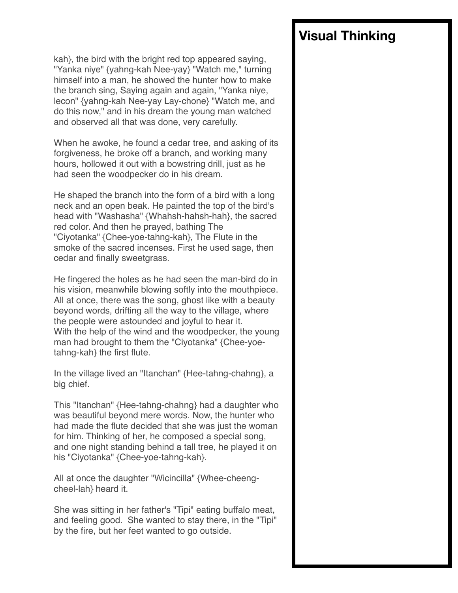kah}, the bird with the bright red top appeared saying, "Yanka niye" {yahng-kah Nee-yay} "Watch me," turning himself into a man, he showed the hunter how to make the branch sing, Saying again and again, "Yanka niye, lecon" {yahng-kah Nee-yay Lay-chone} "Watch me, and do this now," and in his dream the young man watched and observed all that was done, very carefully.

When he awoke, he found a cedar tree, and asking of its forgiveness, he broke off a branch, and working many hours, hollowed it out with a bowstring drill, just as he had seen the woodpecker do in his dream.

He shaped the branch into the form of a bird with a long neck and an open beak. He painted the top of the bird's head with "Washasha" {Whahsh-hahsh-hah}, the sacred red color. And then he prayed, bathing The "Ciyotanka" {Chee-yoe-tahng-kah}, The Flute in the smoke of the sacred incenses. First he used sage, then cedar and finally sweetgrass.

He fingered the holes as he had seen the man-bird do in his vision, meanwhile blowing softly into the mouthpiece. All at once, there was the song, ghost like with a beauty beyond words, drifting all the way to the village, where the people were astounded and joyful to hear it. With the help of the wind and the woodpecker, the young man had brought to them the "Ciyotanka" {Chee-yoetahng-kah} the first flute.

In the village lived an "Itanchan" {Hee-tahng-chahng}, a big chief.

This "Itanchan" {Hee-tahng-chahng} had a daughter who was beautiful beyond mere words. Now, the hunter who had made the flute decided that she was just the woman for him. Thinking of her, he composed a special song, and one night standing behind a tall tree, he played it on his "Ciyotanka" {Chee-yoe-tahng-kah}.

All at once the daughter "Wicincilla" {Whee-cheengcheel-lah} heard it.

She was sitting in her father's "Tipi" eating buffalo meat, and feeling good. She wanted to stay there, in the "Tipi" by the fire, but her feet wanted to go outside.

# **Visual Thinking**